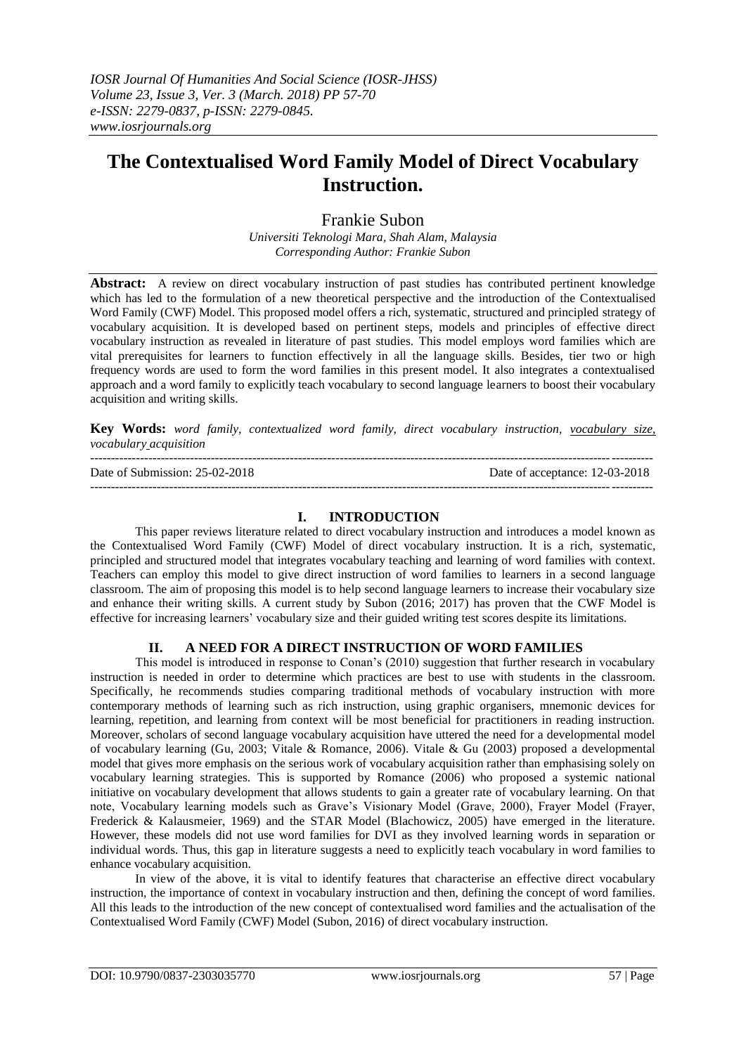# **The Contextualised Word Family Model of Direct Vocabulary Instruction.**

# Frankie Subon

*Universiti Teknologi Mara, Shah Alam, Malaysia Corresponding Author: Frankie Subon*

**Abstract:** A review on direct vocabulary instruction of past studies has contributed pertinent knowledge which has led to the formulation of a new theoretical perspective and the introduction of the Contextualised Word Family (CWF) Model. This proposed model offers a rich, systematic, structured and principled strategy of vocabulary acquisition. It is developed based on pertinent steps, models and principles of effective direct vocabulary instruction as revealed in literature of past studies. This model employs word families which are vital prerequisites for learners to function effectively in all the language skills. Besides, tier two or high frequency words are used to form the word families in this present model. It also integrates a contextualised approach and a word family to explicitly teach vocabulary to second language learners to boost their vocabulary acquisition and writing skills.

**Key Words:** *word family, contextualized word family, direct vocabulary instruction, vocabulary size, vocabulary acquisition*

--------------------------------------------------------------------------------------------------------------------------------------- Date of Submission: 25-02-2018 Date of acceptance: 12-03-2018 ---------------------------------------------------------------------------------------------------------------------------------------

# **I. INTRODUCTION**

This paper reviews literature related to direct vocabulary instruction and introduces a model known as the Contextualised Word Family (CWF) Model of direct vocabulary instruction. It is a rich, systematic, principled and structured model that integrates vocabulary teaching and learning of word families with context. Teachers can employ this model to give direct instruction of word families to learners in a second language classroom. The aim of proposing this model is to help second language learners to increase their vocabulary size and enhance their writing skills. A current study by Subon (2016; 2017) has proven that the CWF Model is effective for increasing learners" vocabulary size and their guided writing test scores despite its limitations.

# **II. A NEED FOR A DIRECT INSTRUCTION OF WORD FAMILIES**

This model is introduced in response to Conan"s (2010) suggestion that further research in vocabulary instruction is needed in order to determine which practices are best to use with students in the classroom. Specifically, he recommends studies comparing traditional methods of vocabulary instruction with more contemporary methods of learning such as rich instruction, using graphic organisers, mnemonic devices for learning, repetition, and learning from context will be most beneficial for practitioners in reading instruction. Moreover, scholars of second language vocabulary acquisition have uttered the need for a developmental model of vocabulary learning (Gu, 2003; Vitale & Romance, 2006). Vitale & Gu (2003) proposed a developmental model that gives more emphasis on the serious work of vocabulary acquisition rather than emphasising solely on vocabulary learning strategies. This is supported by Romance (2006) who proposed a systemic national initiative on vocabulary development that allows students to gain a greater rate of vocabulary learning. On that note, Vocabulary learning models such as Grave"s Visionary Model (Grave, 2000), Frayer Model (Frayer, Frederick & Kalausmeier, 1969) and the STAR Model (Blachowicz, 2005) have emerged in the literature. However, these models did not use word families for DVI as they involved learning words in separation or individual words. Thus, this gap in literature suggests a need to explicitly teach vocabulary in word families to enhance vocabulary acquisition.

In view of the above, it is vital to identify features that characterise an effective direct vocabulary instruction, the importance of context in vocabulary instruction and then, defining the concept of word families. All this leads to the introduction of the new concept of contextualised word families and the actualisation of the Contextualised Word Family (CWF) Model (Subon, 2016) of direct vocabulary instruction.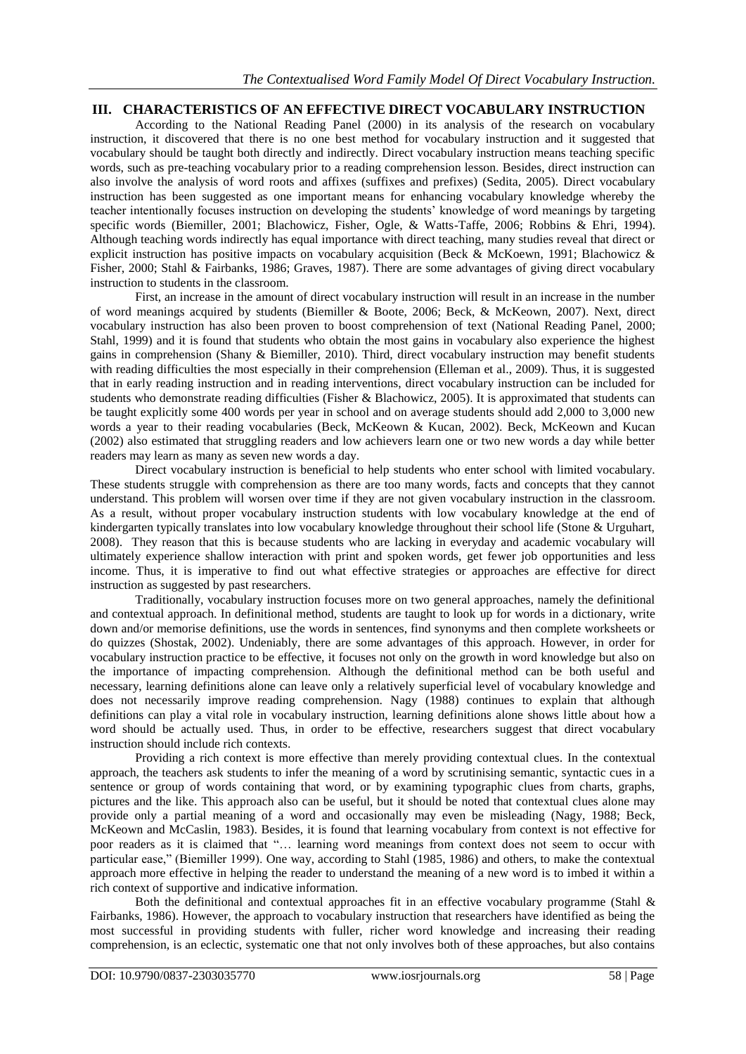# **III. CHARACTERISTICS OF AN EFFECTIVE DIRECT VOCABULARY INSTRUCTION**

According to the National Reading Panel (2000) in its analysis of the research on vocabulary instruction, it discovered that there is no one best method for vocabulary instruction and it suggested that vocabulary should be taught both directly and indirectly. Direct vocabulary instruction means teaching specific words, such as pre-teaching vocabulary prior to a reading comprehension lesson. Besides, direct instruction can also involve the analysis of word roots and affixes (suffixes and prefixes) (Sedita, 2005). Direct vocabulary instruction has been suggested as one important means for enhancing vocabulary knowledge whereby the teacher intentionally focuses instruction on developing the students" knowledge of word meanings by targeting specific words (Biemiller, 2001; Blachowicz, Fisher, Ogle, & Watts-Taffe, 2006; Robbins & Ehri, 1994). Although teaching words indirectly has equal importance with direct teaching, many studies reveal that direct or explicit instruction has positive impacts on vocabulary acquisition (Beck & McKoewn, 1991; Blachowicz & Fisher, 2000; Stahl & Fairbanks, 1986; Graves, 1987). There are some advantages of giving direct vocabulary instruction to students in the classroom.

First, an increase in the amount of direct vocabulary instruction will result in an increase in the number of word meanings acquired by students (Biemiller & Boote, 2006; Beck, & McKeown, 2007). Next, direct vocabulary instruction has also been proven to boost comprehension of text (National Reading Panel, 2000; Stahl, 1999) and it is found that students who obtain the most gains in vocabulary also experience the highest gains in comprehension (Shany & Biemiller, 2010). Third, direct vocabulary instruction may benefit students with reading difficulties the most especially in their comprehension (Elleman et al., 2009). Thus, it is suggested that in early reading instruction and in reading interventions, direct vocabulary instruction can be included for students who demonstrate reading difficulties (Fisher & Blachowicz, 2005). It is approximated that students can be taught explicitly some 400 words per year in school and on average students should add 2,000 to 3,000 new words a year to their reading vocabularies (Beck, McKeown & Kucan, 2002). Beck, McKeown and Kucan (2002) also estimated that struggling readers and low achievers learn one or two new words a day while better readers may learn as many as seven new words a day.

Direct vocabulary instruction is beneficial to help students who enter school with limited vocabulary. These students struggle with comprehension as there are too many words, facts and concepts that they cannot understand. This problem will worsen over time if they are not given vocabulary instruction in the classroom. As a result, without proper vocabulary instruction students with low vocabulary knowledge at the end of kindergarten typically translates into low vocabulary knowledge throughout their school life (Stone & Urguhart, 2008). They reason that this is because students who are lacking in everyday and academic vocabulary will ultimately experience shallow interaction with print and spoken words, get fewer job opportunities and less income. Thus, it is imperative to find out what effective strategies or approaches are effective for direct instruction as suggested by past researchers.

Traditionally, vocabulary instruction focuses more on two general approaches, namely the definitional and contextual approach. In definitional method, students are taught to look up for words in a dictionary, write down and/or memorise definitions, use the words in sentences, find synonyms and then complete worksheets or do quizzes (Shostak, 2002). Undeniably, there are some advantages of this approach. However, in order for vocabulary instruction practice to be effective, it focuses not only on the growth in word knowledge but also on the importance of impacting comprehension. Although the definitional method can be both useful and necessary, learning definitions alone can leave only a relatively superficial level of vocabulary knowledge and does not necessarily improve reading comprehension. Nagy (1988) continues to explain that although definitions can play a vital role in vocabulary instruction, learning definitions alone shows little about how a word should be actually used. Thus, in order to be effective, researchers suggest that direct vocabulary instruction should include rich contexts.

Providing a rich context is more effective than merely providing contextual clues. In the contextual approach, the teachers ask students to infer the meaning of a word by scrutinising semantic, syntactic cues in a sentence or group of words containing that word, or by examining typographic clues from charts, graphs, pictures and the like. This approach also can be useful, but it should be noted that contextual clues alone may provide only a partial meaning of a word and occasionally may even be misleading (Nagy, 1988; Beck, McKeown and McCaslin, 1983). Besides, it is found that learning vocabulary from context is not effective for poor readers as it is claimed that "… learning word meanings from context does not seem to occur with particular ease," (Biemiller 1999). One way, according to Stahl (1985, 1986) and others, to make the contextual approach more effective in helping the reader to understand the meaning of a new word is to imbed it within a rich context of supportive and indicative information.

Both the definitional and contextual approaches fit in an effective vocabulary programme (Stahl & Fairbanks, 1986). However, the approach to vocabulary instruction that researchers have identified as being the most successful in providing students with fuller, richer word knowledge and increasing their reading comprehension, is an eclectic, systematic one that not only involves both of these approaches, but also contains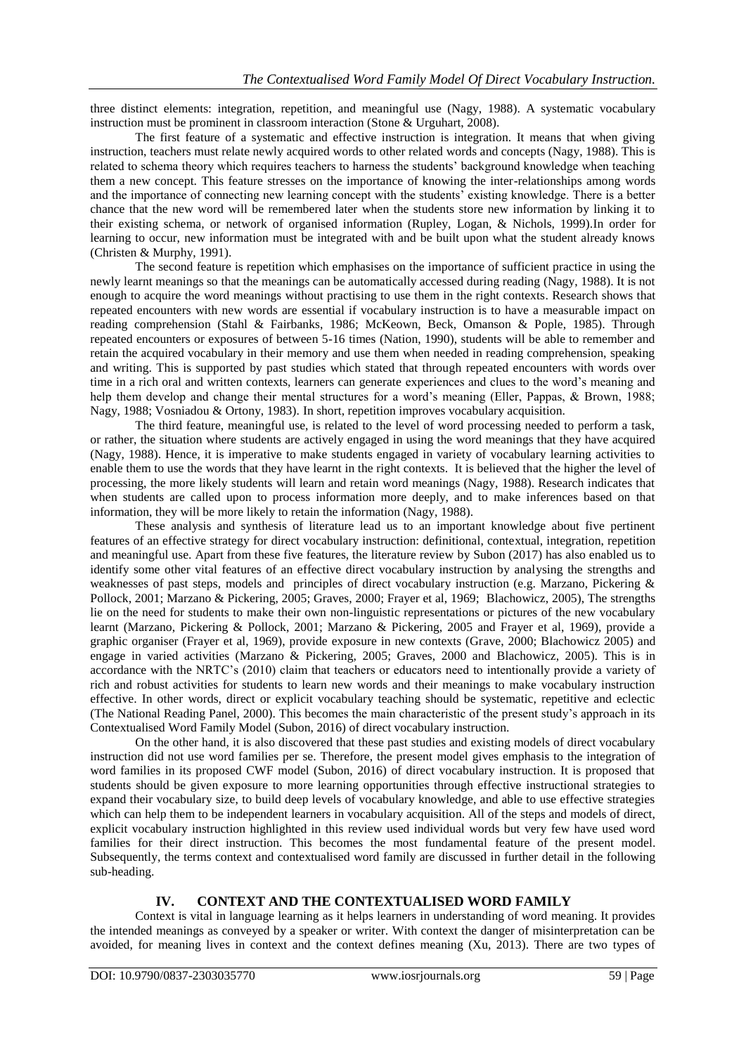three distinct elements: integration, repetition, and meaningful use (Nagy, 1988). A systematic vocabulary instruction must be prominent in classroom interaction (Stone & Urguhart, 2008).

The first feature of a systematic and effective instruction is integration. It means that when giving instruction, teachers must relate newly acquired words to other related words and concepts (Nagy, 1988). This is related to schema theory which requires teachers to harness the students" background knowledge when teaching them a new concept. This feature stresses on the importance of knowing the inter-relationships among words and the importance of connecting new learning concept with the students<sup>3</sup> existing knowledge. There is a better chance that the new word will be remembered later when the students store new information by linking it to their existing schema, or network of organised information (Rupley, Logan, & Nichols, 1999).In order for learning to occur, new information must be integrated with and be built upon what the student already knows (Christen & Murphy, 1991).

The second feature is repetition which emphasises on the importance of sufficient practice in using the newly learnt meanings so that the meanings can be automatically accessed during reading (Nagy, 1988). It is not enough to acquire the word meanings without practising to use them in the right contexts. Research shows that repeated encounters with new words are essential if vocabulary instruction is to have a measurable impact on reading comprehension (Stahl & Fairbanks, 1986; McKeown, Beck, Omanson & Pople, 1985). Through repeated encounters or exposures of between 5-16 times (Nation, 1990), students will be able to remember and retain the acquired vocabulary in their memory and use them when needed in reading comprehension, speaking and writing. This is supported by past studies which stated that through repeated encounters with words over time in a rich oral and written contexts, learners can generate experiences and clues to the word"s meaning and help them develop and change their mental structures for a word's meaning (Eller, Pappas, & Brown, 1988; Nagy, 1988; Vosniadou & Ortony, 1983). In short, repetition improves vocabulary acquisition.

The third feature, meaningful use, is related to the level of word processing needed to perform a task, or rather, the situation where students are actively engaged in using the word meanings that they have acquired (Nagy, 1988). Hence, it is imperative to make students engaged in variety of vocabulary learning activities to enable them to use the words that they have learnt in the right contexts. It is believed that the higher the level of processing, the more likely students will learn and retain word meanings (Nagy, 1988). Research indicates that when students are called upon to process information more deeply, and to make inferences based on that information, they will be more likely to retain the information (Nagy, 1988).

These analysis and synthesis of literature lead us to an important knowledge about five pertinent features of an effective strategy for direct vocabulary instruction: definitional, contextual, integration, repetition and meaningful use. Apart from these five features, the literature review by Subon (2017) has also enabled us to identify some other vital features of an effective direct vocabulary instruction by analysing the strengths and weaknesses of past steps, models and principles of direct vocabulary instruction (e.g. Marzano, Pickering & Pollock, 2001; Marzano & Pickering, 2005; Graves, 2000; Frayer et al, 1969; Blachowicz, 2005), The strengths lie on the need for students to make their own non-linguistic representations or pictures of the new vocabulary learnt (Marzano, Pickering & Pollock, 2001; Marzano & Pickering, 2005 and Frayer et al, 1969), provide a graphic organiser (Frayer et al, 1969), provide exposure in new contexts (Grave, 2000; Blachowicz 2005) and engage in varied activities (Marzano & Pickering, 2005; Graves, 2000 and Blachowicz, 2005). This is in accordance with the NRTC"s (2010) claim that teachers or educators need to intentionally provide a variety of rich and robust activities for students to learn new words and their meanings to make vocabulary instruction effective. In other words, direct or explicit vocabulary teaching should be systematic, repetitive and eclectic (The National Reading Panel, 2000). This becomes the main characteristic of the present study"s approach in its Contextualised Word Family Model (Subon, 2016) of direct vocabulary instruction.

On the other hand, it is also discovered that these past studies and existing models of direct vocabulary instruction did not use word families per se. Therefore, the present model gives emphasis to the integration of word families in its proposed CWF model (Subon, 2016) of direct vocabulary instruction. It is proposed that students should be given exposure to more learning opportunities through effective instructional strategies to expand their vocabulary size, to build deep levels of vocabulary knowledge, and able to use effective strategies which can help them to be independent learners in vocabulary acquisition. All of the steps and models of direct, explicit vocabulary instruction highlighted in this review used individual words but very few have used word families for their direct instruction. This becomes the most fundamental feature of the present model. Subsequently, the terms context and contextualised word family are discussed in further detail in the following sub-heading.

# **IV. CONTEXT AND THE CONTEXTUALISED WORD FAMILY**

Context is vital in language learning as it helps learners in understanding of word meaning. It provides the intended meanings as conveyed by a speaker or writer. With context the danger of misinterpretation can be avoided, for meaning lives in context and the context defines meaning (Xu, 2013). There are two types of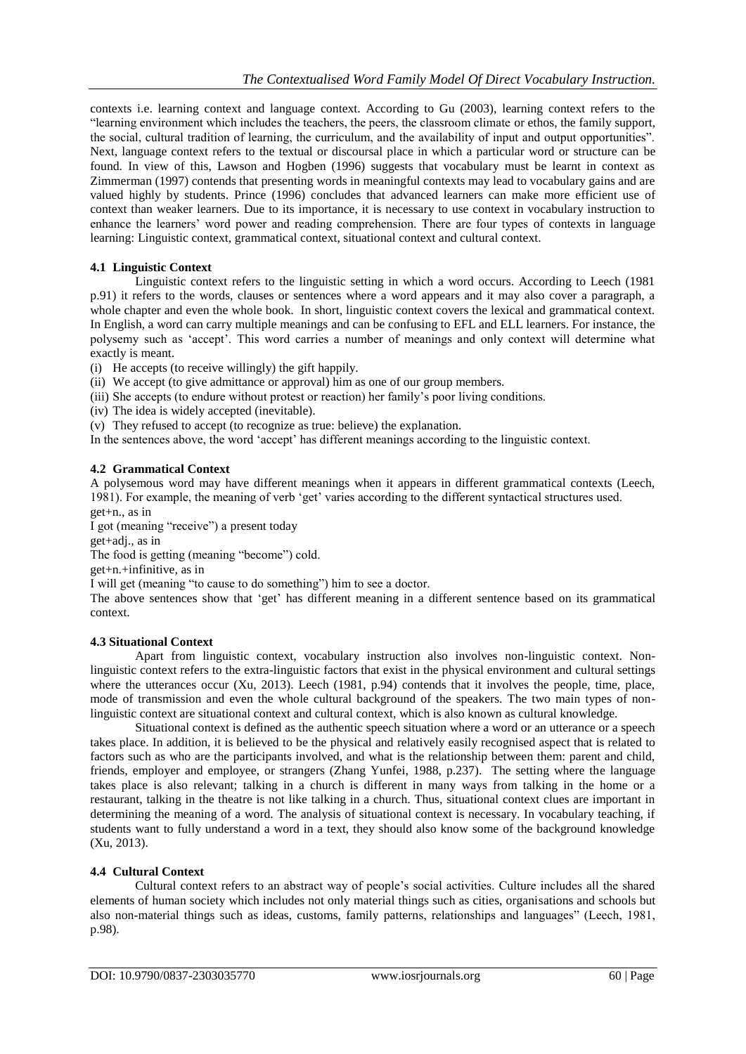contexts i.e. learning context and language context. According to Gu (2003), learning context refers to the "learning environment which includes the teachers, the peers, the classroom climate or ethos, the family support, the social, cultural tradition of learning, the curriculum, and the availability of input and output opportunities". Next, language context refers to the textual or discoursal place in which a particular word or structure can be found. In view of this, Lawson and Hogben (1996) suggests that vocabulary must be learnt in context as Zimmerman (1997) contends that presenting words in meaningful contexts may lead to vocabulary gains and are valued highly by students. Prince (1996) concludes that advanced learners can make more efficient use of context than weaker learners. Due to its importance, it is necessary to use context in vocabulary instruction to enhance the learners" word power and reading comprehension. There are four types of contexts in language learning: Linguistic context, grammatical context, situational context and cultural context.

# **4.1 Linguistic Context**

Linguistic context refers to the linguistic setting in which a word occurs. According to Leech (1981 p.91) it refers to the words, clauses or sentences where a word appears and it may also cover a paragraph, a whole chapter and even the whole book. In short, linguistic context covers the lexical and grammatical context. In English, a word can carry multiple meanings and can be confusing to EFL and ELL learners. For instance, the polysemy such as "accept". This word carries a number of meanings and only context will determine what exactly is meant.

(i) He accepts (to receive willingly) the gift happily.

(ii) We accept (to give admittance or approval) him as one of our group members.

- (iii) She accepts (to endure without protest or reaction) her family"s poor living conditions.
- (iv) The idea is widely accepted (inevitable).
- (v) They refused to accept (to recognize as true: believe) the explanation.

In the sentences above, the word "accept" has different meanings according to the linguistic context.

### **4.2 Grammatical Context**

A polysemous word may have different meanings when it appears in different grammatical contexts (Leech, 1981). For example, the meaning of verb "get" varies according to the different syntactical structures used.

get+n., as in

I got (meaning "receive") a present today

get+adj., as in

The food is getting (meaning "become") cold.

get+n.+infinitive, as in

I will get (meaning "to cause to do something") him to see a doctor.

The above sentences show that 'get' has different meaning in a different sentence based on its grammatical context.

#### **4.3 Situational Context**

Apart from linguistic context, vocabulary instruction also involves non-linguistic context. Nonlinguistic context refers to the extra-linguistic factors that exist in the physical environment and cultural settings where the utterances occur (Xu, 2013). Leech (1981, p.94) contends that it involves the people, time, place, mode of transmission and even the whole cultural background of the speakers. The two main types of nonlinguistic context are situational context and cultural context, which is also known as cultural knowledge.

Situational context is defined as the authentic speech situation where a word or an utterance or a speech takes place. In addition, it is believed to be the physical and relatively easily recognised aspect that is related to factors such as who are the participants involved, and what is the relationship between them: parent and child, friends, employer and employee, or strangers (Zhang Yunfei, 1988, p.237). The setting where the language takes place is also relevant; talking in a church is different in many ways from talking in the home or a restaurant, talking in the theatre is not like talking in a church. Thus, situational context clues are important in determining the meaning of a word. The analysis of situational context is necessary. In vocabulary teaching, if students want to fully understand a word in a text, they should also know some of the background knowledge (Xu, 2013).

# **4.4 Cultural Context**

Cultural context refers to an abstract way of people"s social activities. Culture includes all the shared elements of human society which includes not only material things such as cities, organisations and schools but also non-material things such as ideas, customs, family patterns, relationships and languages" (Leech, 1981, p.98).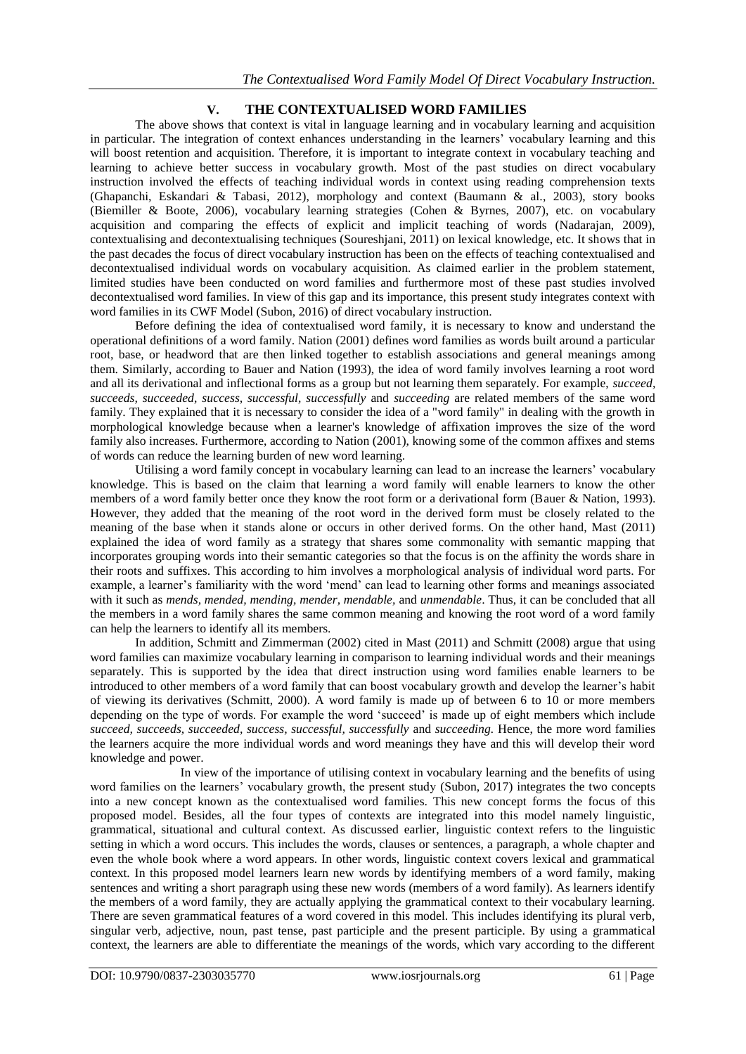# **V. THE CONTEXTUALISED WORD FAMILIES**

The above shows that context is vital in language learning and in vocabulary learning and acquisition in particular. The integration of context enhances understanding in the learners" vocabulary learning and this will boost retention and acquisition. Therefore, it is important to integrate context in vocabulary teaching and learning to achieve better success in vocabulary growth. Most of the past studies on direct vocabulary instruction involved the effects of teaching individual words in context using reading comprehension texts (Ghapanchi, Eskandari & Tabasi, 2012), morphology and context (Baumann & al., 2003), story books (Biemiller & Boote, 2006), vocabulary learning strategies (Cohen & Byrnes, 2007), etc. on vocabulary acquisition and comparing the effects of explicit and implicit teaching of words (Nadarajan, 2009), contextualising and decontextualising techniques (Soureshjani, 2011) on lexical knowledge, etc. It shows that in the past decades the focus of direct vocabulary instruction has been on the effects of teaching contextualised and decontextualised individual words on vocabulary acquisition. As claimed earlier in the problem statement, limited studies have been conducted on word families and furthermore most of these past studies involved decontextualised word families. In view of this gap and its importance, this present study integrates context with word families in its CWF Model (Subon, 2016) of direct vocabulary instruction.

Before defining the idea of contextualised word family, it is necessary to know and understand the operational definitions of a word family. Nation (2001) defines word families as words built around a particular root, base, or headword that are then linked together to establish associations and general meanings among them. Similarly, according to Bauer and Nation (1993), the idea of word family involves learning a root word and all its derivational and inflectional forms as a group but not learning them separately. For example, *succeed, succeeds, succeeded, success, successful, successfully* and *succeeding* are related members of the same word family. They explained that it is necessary to consider the idea of a "word family" in dealing with the growth in morphological knowledge because when a learner's knowledge of affixation improves the size of the word family also increases. Furthermore, according to Nation (2001), knowing some of the common affixes and stems of words can reduce the learning burden of new word learning.

Utilising a word family concept in vocabulary learning can lead to an increase the learners" vocabulary knowledge. This is based on the claim that learning a word family will enable learners to know the other members of a word family better once they know the root form or a derivational form (Bauer & Nation, 1993). However, they added that the meaning of the root word in the derived form must be closely related to the meaning of the base when it stands alone or occurs in other derived forms. On the other hand, Mast (2011) explained the idea of word family as a strategy that shares some commonality with semantic mapping that incorporates grouping words into their semantic categories so that the focus is on the affinity the words share in their roots and suffixes. This according to him involves a morphological analysis of individual word parts. For example, a learner"s familiarity with the word "mend" can lead to learning other forms and meanings associated with it such as *mends, mended, mending, mender, mendable,* and *unmendable*. Thus, it can be concluded that all the members in a word family shares the same common meaning and knowing the root word of a word family can help the learners to identify all its members.

In addition, Schmitt and Zimmerman (2002) cited in Mast (2011) and Schmitt (2008) argue that using word families can maximize vocabulary learning in comparison to learning individual words and their meanings separately. This is supported by the idea that direct instruction using word families enable learners to be introduced to other members of a word family that can boost vocabulary growth and develop the learner"s habit of viewing its derivatives (Schmitt, 2000). A word family is made up of between 6 to 10 or more members depending on the type of words. For example the word "succeed" is made up of eight members which include *succeed, succeeds, succeeded, success, successful, successfully* and *succeeding.* Hence, the more word families the learners acquire the more individual words and word meanings they have and this will develop their word knowledge and power.

In view of the importance of utilising context in vocabulary learning and the benefits of using word families on the learners" vocabulary growth, the present study (Subon, 2017) integrates the two concepts into a new concept known as the contextualised word families. This new concept forms the focus of this proposed model. Besides, all the four types of contexts are integrated into this model namely linguistic, grammatical, situational and cultural context. As discussed earlier, linguistic context refers to the linguistic setting in which a word occurs. This includes the words, clauses or sentences, a paragraph, a whole chapter and even the whole book where a word appears. In other words, linguistic context covers lexical and grammatical context. In this proposed model learners learn new words by identifying members of a word family, making sentences and writing a short paragraph using these new words (members of a word family). As learners identify the members of a word family, they are actually applying the grammatical context to their vocabulary learning. There are seven grammatical features of a word covered in this model. This includes identifying its plural verb, singular verb, adjective, noun, past tense, past participle and the present participle. By using a grammatical context, the learners are able to differentiate the meanings of the words, which vary according to the different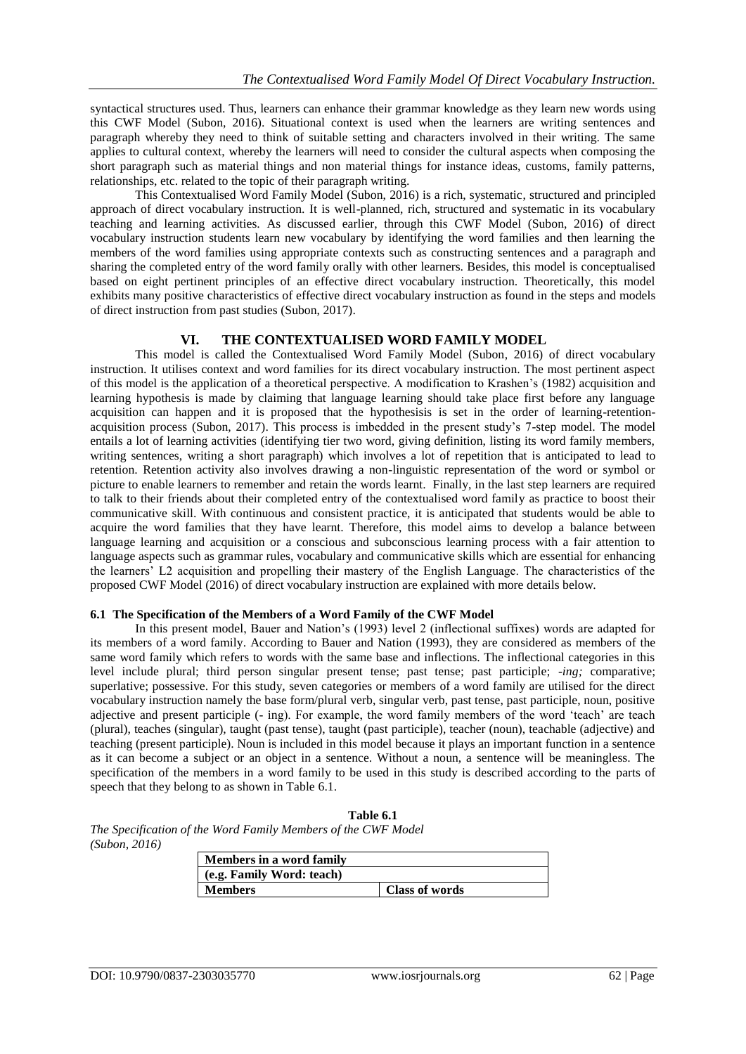syntactical structures used. Thus, learners can enhance their grammar knowledge as they learn new words using this CWF Model (Subon, 2016). Situational context is used when the learners are writing sentences and paragraph whereby they need to think of suitable setting and characters involved in their writing. The same applies to cultural context, whereby the learners will need to consider the cultural aspects when composing the short paragraph such as material things and non material things for instance ideas, customs, family patterns, relationships, etc. related to the topic of their paragraph writing.

This Contextualised Word Family Model (Subon, 2016) is a rich, systematic, structured and principled approach of direct vocabulary instruction. It is well-planned, rich, structured and systematic in its vocabulary teaching and learning activities. As discussed earlier, through this CWF Model (Subon, 2016) of direct vocabulary instruction students learn new vocabulary by identifying the word families and then learning the members of the word families using appropriate contexts such as constructing sentences and a paragraph and sharing the completed entry of the word family orally with other learners. Besides, this model is conceptualised based on eight pertinent principles of an effective direct vocabulary instruction. Theoretically, this model exhibits many positive characteristics of effective direct vocabulary instruction as found in the steps and models of direct instruction from past studies (Subon, 2017).

# **VI. THE CONTEXTUALISED WORD FAMILY MODEL**

This model is called the Contextualised Word Family Model (Subon, 2016) of direct vocabulary instruction. It utilises context and word families for its direct vocabulary instruction. The most pertinent aspect of this model is the application of a theoretical perspective. A modification to Krashen"s (1982) acquisition and learning hypothesis is made by claiming that language learning should take place first before any language acquisition can happen and it is proposed that the hypothesisis is set in the order of learning-retentionacquisition process (Subon, 2017). This process is imbedded in the present study"s 7-step model. The model entails a lot of learning activities (identifying tier two word, giving definition, listing its word family members, writing sentences, writing a short paragraph) which involves a lot of repetition that is anticipated to lead to retention. Retention activity also involves drawing a non-linguistic representation of the word or symbol or picture to enable learners to remember and retain the words learnt. Finally, in the last step learners are required to talk to their friends about their completed entry of the contextualised word family as practice to boost their communicative skill. With continuous and consistent practice, it is anticipated that students would be able to acquire the word families that they have learnt. Therefore, this model aims to develop a balance between language learning and acquisition or a conscious and subconscious learning process with a fair attention to language aspects such as grammar rules, vocabulary and communicative skills which are essential for enhancing the learners" L2 acquisition and propelling their mastery of the English Language. The characteristics of the proposed CWF Model (2016) of direct vocabulary instruction are explained with more details below.

#### **6.1 The Specification of the Members of a Word Family of the CWF Model**

In this present model, Bauer and Nation"s (1993) level 2 (inflectional suffixes) words are adapted for its members of a word family. According to Bauer and Nation (1993), they are considered as members of the same word family which refers to words with the same base and inflections. The inflectional categories in this level include plural; third person singular present tense; past tense; past participle; *-ing;* comparative; superlative; possessive. For this study, seven categories or members of a word family are utilised for the direct vocabulary instruction namely the base form/plural verb, singular verb, past tense, past participle, noun, positive adjective and present participle (- ing). For example, the word family members of the word "teach" are teach (plural), teaches (singular), taught (past tense), taught (past participle), teacher (noun), teachable (adjective) and teaching (present participle). Noun is included in this model because it plays an important function in a sentence as it can become a subject or an object in a sentence. Without a noun, a sentence will be meaningless. The specification of the members in a word family to be used in this study is described according to the parts of speech that they belong to as shown in Table 6.1.

| Table 6.1              |
|------------------------|
| where of the CWE $Mod$ |

*The Specification of the Word Family Members of the CWF Model (Subon, 2016)*

| Members in a word family  |                |  |
|---------------------------|----------------|--|
| (e.g. Family Word: teach) |                |  |
| <b>Members</b>            | Class of words |  |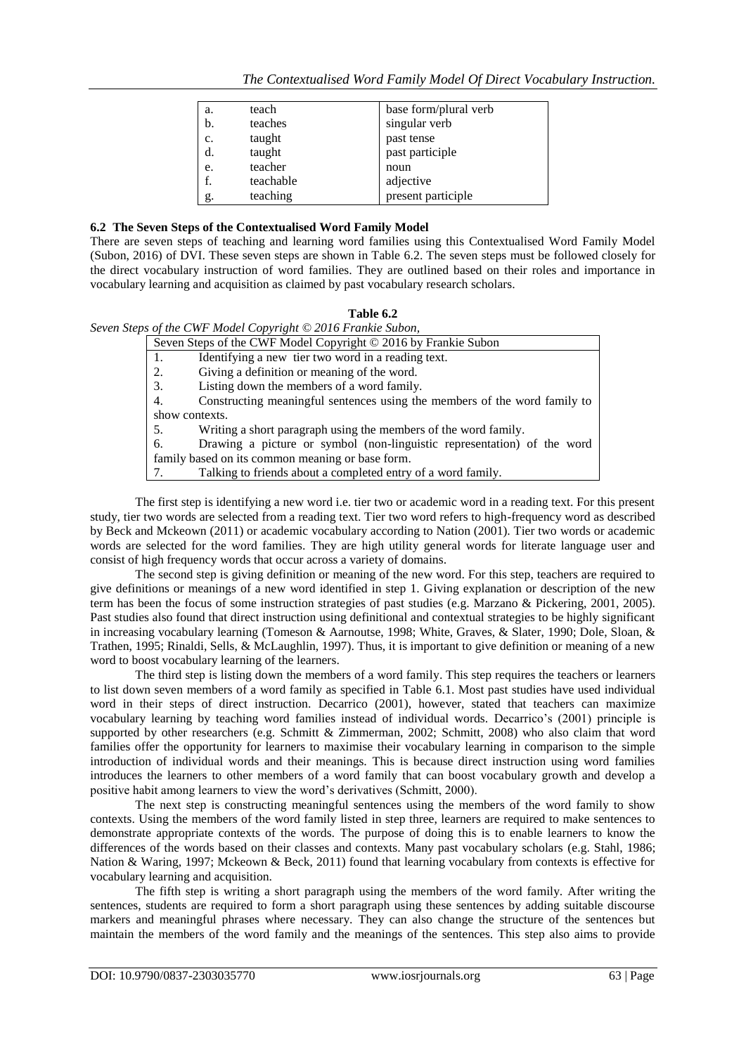| a. | teach     | base form/plural verb |
|----|-----------|-----------------------|
| b. | teaches   | singular verb         |
| c. | taught    | past tense            |
| d. | taught    | past participle       |
| e. | teacher   | noun                  |
| f. | teachable | adjective             |
| g. | teaching  | present participle    |

# **6.2 The Seven Steps of the Contextualised Word Family Model**

There are seven steps of teaching and learning word families using this Contextualised Word Family Model (Subon, 2016) of DVI. These seven steps are shown in Table 6.2. The seven steps must be followed closely for the direct vocabulary instruction of word families. They are outlined based on their roles and importance in vocabulary learning and acquisition as claimed by past vocabulary research scholars.

### **Table 6.2**

# *Seven Steps of the CWF Model Copyright © 2016 Frankie Subon,*

| Seven Steps of the CWF Model Copyright © 2016 by Frankie Subon |                                                                           |  |
|----------------------------------------------------------------|---------------------------------------------------------------------------|--|
|                                                                | Identifying a new tier two word in a reading text.                        |  |
| 2.                                                             | Giving a definition or meaning of the word.                               |  |
| 3.                                                             | Listing down the members of a word family.                                |  |
| 4.                                                             | Constructing meaningful sentences using the members of the word family to |  |
| show contexts.                                                 |                                                                           |  |
| 5.                                                             | Writing a short paragraph using the members of the word family.           |  |
| 6.                                                             | Drawing a picture or symbol (non-linguistic representation) of the word   |  |
| family based on its common meaning or base form.               |                                                                           |  |
|                                                                | Talking to friends about a completed entry of a word family.              |  |

The first step is identifying a new word i.e. tier two or academic word in a reading text. For this present study, tier two words are selected from a reading text. Tier two word refers to high-frequency word as described by Beck and Mckeown (2011) or academic vocabulary according to Nation (2001). Tier two words or academic words are selected for the word families. They are high utility general words for literate language user and consist of high frequency words that occur across a variety of domains.

The second step is giving definition or meaning of the new word. For this step, teachers are required to give definitions or meanings of a new word identified in step 1. Giving explanation or description of the new term has been the focus of some instruction strategies of past studies (e.g. Marzano & Pickering, 2001, 2005). Past studies also found that direct instruction using definitional and contextual strategies to be highly significant in increasing vocabulary learning (Tomeson & Aarnoutse, 1998; White, Graves, & Slater, 1990; Dole, Sloan, & Trathen, 1995; Rinaldi, Sells, & McLaughlin, 1997). Thus, it is important to give definition or meaning of a new word to boost vocabulary learning of the learners.

The third step is listing down the members of a word family. This step requires the teachers or learners to list down seven members of a word family as specified in Table 6.1. Most past studies have used individual word in their steps of direct instruction. Decarrico (2001), however, stated that teachers can maximize vocabulary learning by teaching word families instead of individual words. Decarrico"s (2001) principle is supported by other researchers (e.g. Schmitt & Zimmerman, 2002; Schmitt, 2008) who also claim that word families offer the opportunity for learners to maximise their vocabulary learning in comparison to the simple introduction of individual words and their meanings. This is because direct instruction using word families introduces the learners to other members of a word family that can boost vocabulary growth and develop a positive habit among learners to view the word"s derivatives (Schmitt, 2000).

The next step is constructing meaningful sentences using the members of the word family to show contexts. Using the members of the word family listed in step three, learners are required to make sentences to demonstrate appropriate contexts of the words. The purpose of doing this is to enable learners to know the differences of the words based on their classes and contexts. Many past vocabulary scholars (e.g. Stahl, 1986; Nation & Waring, 1997; Mckeown & Beck, 2011) found that learning vocabulary from contexts is effective for vocabulary learning and acquisition.

The fifth step is writing a short paragraph using the members of the word family. After writing the sentences, students are required to form a short paragraph using these sentences by adding suitable discourse markers and meaningful phrases where necessary. They can also change the structure of the sentences but maintain the members of the word family and the meanings of the sentences. This step also aims to provide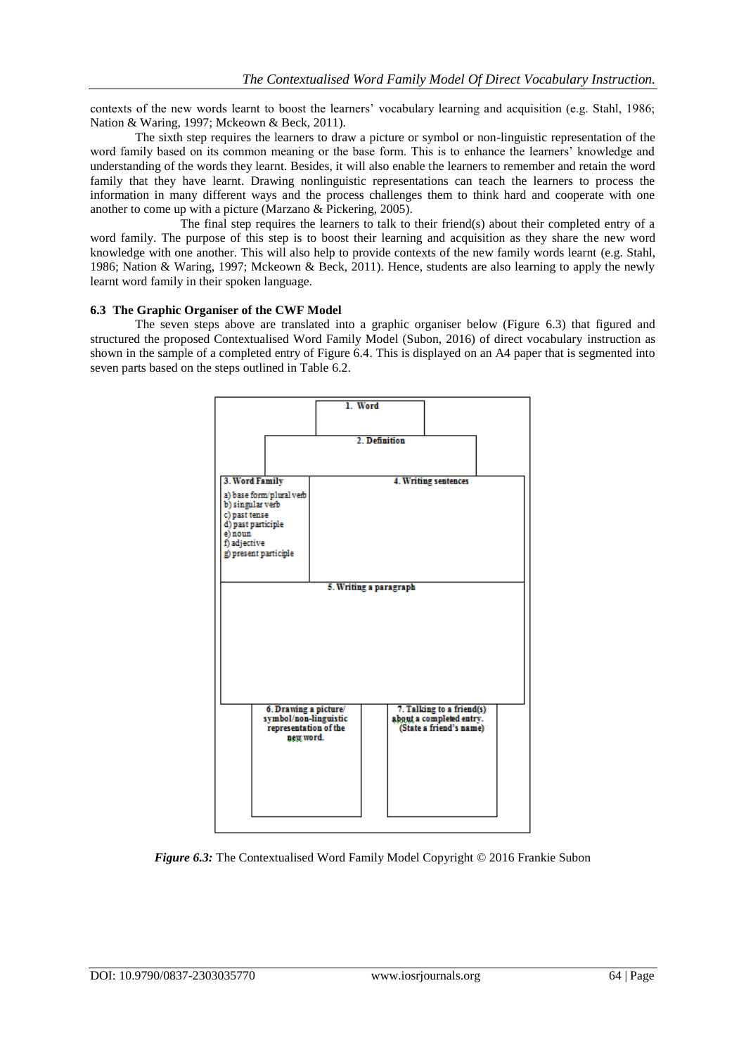contexts of the new words learnt to boost the learners" vocabulary learning and acquisition (e.g. Stahl, 1986; Nation & Waring, 1997; Mckeown & Beck, 2011).

The sixth step requires the learners to draw a picture or symbol or non-linguistic representation of the word family based on its common meaning or the base form. This is to enhance the learners' knowledge and understanding of the words they learnt. Besides, it will also enable the learners to remember and retain the word family that they have learnt. Drawing nonlinguistic representations can teach the learners to process the information in many different ways and the process challenges them to think hard and cooperate with one another to come up with a picture (Marzano & Pickering, 2005).

The final step requires the learners to talk to their friend(s) about their completed entry of a word family. The purpose of this step is to boost their learning and acquisition as they share the new word knowledge with one another. This will also help to provide contexts of the new family words learnt (e.g. Stahl, 1986; Nation & Waring, 1997; Mckeown & Beck, 2011). Hence, students are also learning to apply the newly learnt word family in their spoken language.

#### **6.3 The Graphic Organiser of the CWF Model**

The seven steps above are translated into a graphic organiser below (Figure 6.3) that figured and structured the proposed Contextualised Word Family Model (Subon, 2016) of direct vocabulary instruction as shown in the sample of a completed entry of Figure 6.4. This is displayed on an A4 paper that is segmented into seven parts based on the steps outlined in Table 6.2.



*Figure 6.3:* The Contextualised Word Family Model Copyright © 2016 Frankie Subon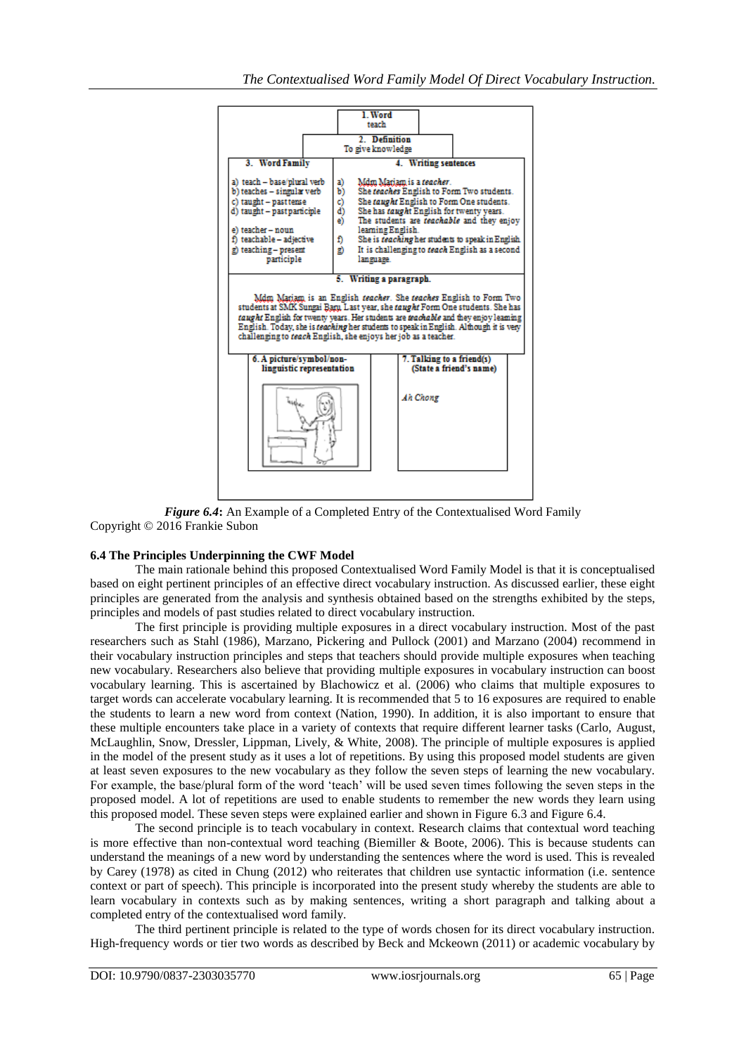

*Figure 6.4***:** An Example of a Completed Entry of the Contextualised Word Family Copyright © 2016 Frankie Subon

# **6.4 The Principles Underpinning the CWF Model**

The main rationale behind this proposed Contextualised Word Family Model is that it is conceptualised based on eight pertinent principles of an effective direct vocabulary instruction. As discussed earlier, these eight principles are generated from the analysis and synthesis obtained based on the strengths exhibited by the steps, principles and models of past studies related to direct vocabulary instruction.

The first principle is providing multiple exposures in a direct vocabulary instruction. Most of the past researchers such as Stahl (1986), Marzano, Pickering and Pullock (2001) and Marzano (2004) recommend in their vocabulary instruction principles and steps that teachers should provide multiple exposures when teaching new vocabulary. Researchers also believe that providing multiple exposures in vocabulary instruction can boost vocabulary learning. This is ascertained by Blachowicz et al. (2006) who claims that multiple exposures to target words can accelerate vocabulary learning. It is recommended that 5 to 16 exposures are required to enable the students to learn a new word from context (Nation, 1990). In addition, it is also important to ensure that these multiple encounters take place in a variety of contexts that require different learner tasks (Carlo, August, McLaughlin, Snow, Dressler, Lippman, Lively, & White, 2008). The principle of multiple exposures is applied in the model of the present study as it uses a lot of repetitions. By using this proposed model students are given at least seven exposures to the new vocabulary as they follow the seven steps of learning the new vocabulary. For example, the base/plural form of the word 'teach' will be used seven times following the seven steps in the proposed model. A lot of repetitions are used to enable students to remember the new words they learn using this proposed model. These seven steps were explained earlier and shown in Figure 6.3 and Figure 6.4.

The second principle is to teach vocabulary in context. Research claims that contextual word teaching is more effective than non-contextual word teaching (Biemiller & Boote, 2006). This is because students can understand the meanings of a new word by understanding the sentences where the word is used. This is revealed by Carey (1978) as cited in Chung (2012) who reiterates that children use syntactic information (i.e. sentence context or part of speech). This principle is incorporated into the present study whereby the students are able to learn vocabulary in contexts such as by making sentences, writing a short paragraph and talking about a completed entry of the contextualised word family.

The third pertinent principle is related to the type of words chosen for its direct vocabulary instruction. High-frequency words or tier two words as described by Beck and Mckeown (2011) or academic vocabulary by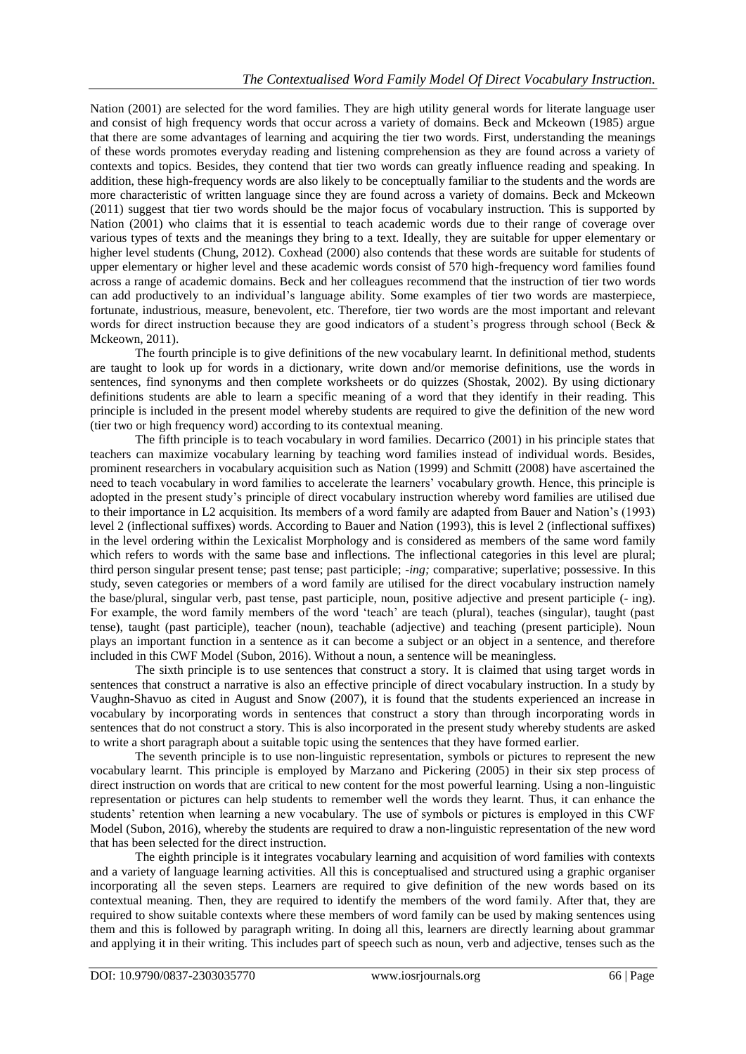Nation (2001) are selected for the word families. They are high utility general words for literate language user and consist of high frequency words that occur across a variety of domains. Beck and Mckeown (1985) argue that there are some advantages of learning and acquiring the tier two words. First, understanding the meanings of these words promotes everyday reading and listening comprehension as they are found across a variety of contexts and topics. Besides, they contend that tier two words can greatly influence reading and speaking. In addition, these high-frequency words are also likely to be conceptually familiar to the students and the words are more characteristic of written language since they are found across a variety of domains. Beck and Mckeown (2011) suggest that tier two words should be the major focus of vocabulary instruction. This is supported by Nation (2001) who claims that it is essential to teach academic words due to their range of coverage over various types of texts and the meanings they bring to a text. Ideally, they are suitable for upper elementary or higher level students (Chung, 2012). Coxhead (2000) also contends that these words are suitable for students of upper elementary or higher level and these academic words consist of 570 high-frequency word families found across a range of academic domains. Beck and her colleagues recommend that the instruction of tier two words can add productively to an individual"s language ability. Some examples of tier two words are masterpiece, fortunate, industrious, measure, benevolent, etc. Therefore, tier two words are the most important and relevant words for direct instruction because they are good indicators of a student's progress through school (Beck & Mckeown, 2011).

The fourth principle is to give definitions of the new vocabulary learnt. In definitional method, students are taught to look up for words in a dictionary, write down and/or memorise definitions, use the words in sentences, find synonyms and then complete worksheets or do quizzes (Shostak, 2002). By using dictionary definitions students are able to learn a specific meaning of a word that they identify in their reading. This principle is included in the present model whereby students are required to give the definition of the new word (tier two or high frequency word) according to its contextual meaning.

The fifth principle is to teach vocabulary in word families. Decarrico (2001) in his principle states that teachers can maximize vocabulary learning by teaching word families instead of individual words. Besides, prominent researchers in vocabulary acquisition such as Nation (1999) and Schmitt (2008) have ascertained the need to teach vocabulary in word families to accelerate the learners" vocabulary growth. Hence, this principle is adopted in the present study"s principle of direct vocabulary instruction whereby word families are utilised due to their importance in L2 acquisition. Its members of a word family are adapted from Bauer and Nation"s (1993) level 2 (inflectional suffixes) words. According to Bauer and Nation (1993), this is level 2 (inflectional suffixes) in the level ordering within the Lexicalist Morphology and is considered as members of the same word family which refers to words with the same base and inflections. The inflectional categories in this level are plural; third person singular present tense; past tense; past participle; *-ing;* comparative; superlative; possessive. In this study, seven categories or members of a word family are utilised for the direct vocabulary instruction namely the base/plural, singular verb, past tense, past participle, noun, positive adjective and present participle (- ing). For example, the word family members of the word 'teach' are teach (plural), teaches (singular), taught (past tense), taught (past participle), teacher (noun), teachable (adjective) and teaching (present participle). Noun plays an important function in a sentence as it can become a subject or an object in a sentence, and therefore included in this CWF Model (Subon, 2016). Without a noun, a sentence will be meaningless.

The sixth principle is to use sentences that construct a story. It is claimed that using target words in sentences that construct a narrative is also an effective principle of direct vocabulary instruction. In a study by Vaughn-Shavuo as cited in August and Snow (2007), it is found that the students experienced an increase in vocabulary by incorporating words in sentences that construct a story than through incorporating words in sentences that do not construct a story. This is also incorporated in the present study whereby students are asked to write a short paragraph about a suitable topic using the sentences that they have formed earlier.

The seventh principle is to use non-linguistic representation, symbols or pictures to represent the new vocabulary learnt. This principle is employed by Marzano and Pickering (2005) in their six step process of direct instruction on words that are critical to new content for the most powerful learning. Using a non-linguistic representation or pictures can help students to remember well the words they learnt. Thus, it can enhance the students' retention when learning a new vocabulary. The use of symbols or pictures is employed in this CWF Model (Subon, 2016), whereby the students are required to draw a non-linguistic representation of the new word that has been selected for the direct instruction.

The eighth principle is it integrates vocabulary learning and acquisition of word families with contexts and a variety of language learning activities. All this is conceptualised and structured using a graphic organiser incorporating all the seven steps. Learners are required to give definition of the new words based on its contextual meaning. Then, they are required to identify the members of the word family. After that, they are required to show suitable contexts where these members of word family can be used by making sentences using them and this is followed by paragraph writing. In doing all this, learners are directly learning about grammar and applying it in their writing. This includes part of speech such as noun, verb and adjective, tenses such as the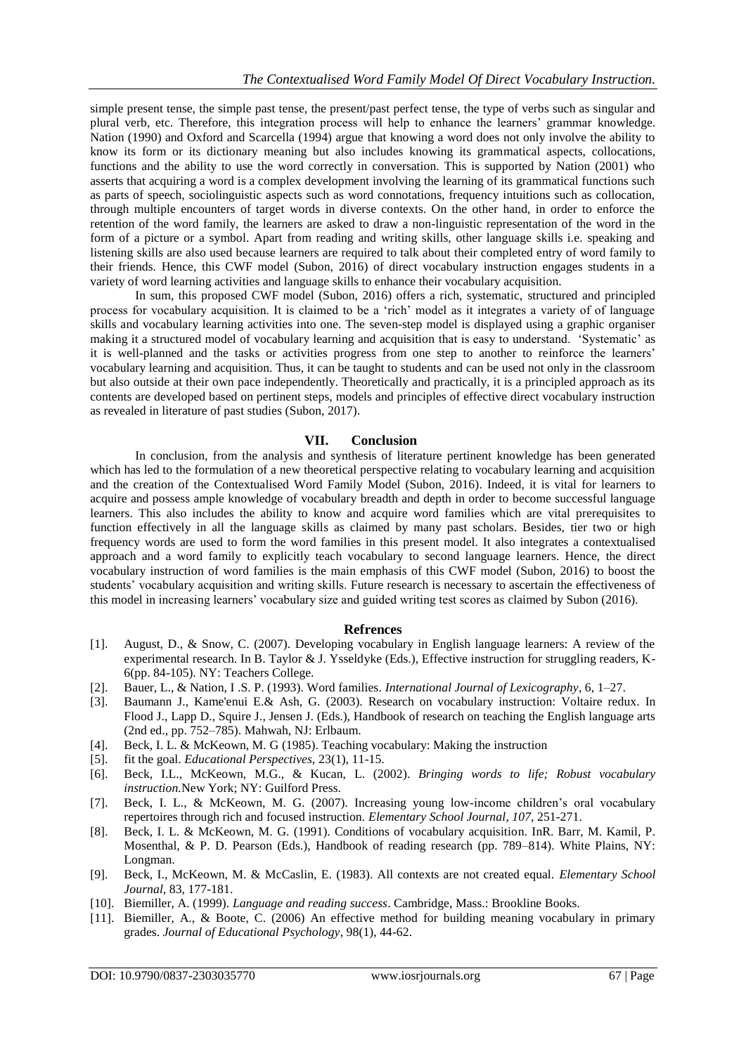simple present tense, the simple past tense, the present/past perfect tense, the type of verbs such as singular and plural verb, etc. Therefore, this integration process will help to enhance the learners" grammar knowledge. Nation (1990) and Oxford and Scarcella (1994) argue that knowing a word does not only involve the ability to know its form or its dictionary meaning but also includes knowing its grammatical aspects, collocations, functions and the ability to use the word correctly in conversation. This is supported by Nation (2001) who asserts that acquiring a word is a complex development involving the learning of its grammatical functions such as parts of speech, sociolinguistic aspects such as word connotations, frequency intuitions such as collocation, through multiple encounters of target words in diverse contexts. On the other hand, in order to enforce the retention of the word family, the learners are asked to draw a non-linguistic representation of the word in the form of a picture or a symbol. Apart from reading and writing skills, other language skills i.e. speaking and listening skills are also used because learners are required to talk about their completed entry of word family to their friends. Hence, this CWF model (Subon, 2016) of direct vocabulary instruction engages students in a variety of word learning activities and language skills to enhance their vocabulary acquisition.

In sum, this proposed CWF model (Subon, 2016) offers a rich, systematic, structured and principled process for vocabulary acquisition. It is claimed to be a "rich" model as it integrates a variety of of language skills and vocabulary learning activities into one. The seven-step model is displayed using a graphic organiser making it a structured model of vocabulary learning and acquisition that is easy to understand. "Systematic" as it is well-planned and the tasks or activities progress from one step to another to reinforce the learners" vocabulary learning and acquisition. Thus, it can be taught to students and can be used not only in the classroom but also outside at their own pace independently. Theoretically and practically, it is a principled approach as its contents are developed based on pertinent steps, models and principles of effective direct vocabulary instruction as revealed in literature of past studies (Subon, 2017).

# **VII. Conclusion**

In conclusion, from the analysis and synthesis of literature pertinent knowledge has been generated which has led to the formulation of a new theoretical perspective relating to vocabulary learning and acquisition and the creation of the Contextualised Word Family Model (Subon, 2016). Indeed, it is vital for learners to acquire and possess ample knowledge of vocabulary breadth and depth in order to become successful language learners. This also includes the ability to know and acquire word families which are vital prerequisites to function effectively in all the language skills as claimed by many past scholars. Besides, tier two or high frequency words are used to form the word families in this present model. It also integrates a contextualised approach and a word family to explicitly teach vocabulary to second language learners. Hence, the direct vocabulary instruction of word families is the main emphasis of this CWF model (Subon, 2016) to boost the students" vocabulary acquisition and writing skills. Future research is necessary to ascertain the effectiveness of this model in increasing learners" vocabulary size and guided writing test scores as claimed by Subon (2016).

# **Refrences**

- [1]. August, D., & Snow, C. (2007). Developing vocabulary in English language learners: A review of the experimental research. In B. Taylor & J. Ysseldyke (Eds.), Effective instruction for struggling readers, K-6(pp. 84-105). NY: Teachers College.
- [2]. Bauer, L., & Nation, I .S. P. (1993). Word families. *International Journal of Lexicography*, 6, 1–27.
- [3]. Baumann J., Kame'enui E.& Ash, G. (2003). Research on vocabulary instruction: Voltaire redux. In Flood J., Lapp D., Squire J., Jensen J. (Eds.), Handbook of research on teaching the English language arts (2nd ed., pp. 752–785). Mahwah, NJ: Erlbaum.
- [4]. Beck, I. L. & McKeown, M. G (1985). Teaching vocabulary: Making the instruction
- [5]. fit the goal. *Educational Perspectives,* 23(1), 11-15.
- [6]. Beck, I.L., McKeown, M.G., & Kucan, L. (2002). *Bringing words to life; Robust vocabulary instruction.*New York; NY: Guilford Press.
- [7]. Beck, I. L., & McKeown, M. G. (2007). Increasing young low-income children"s oral vocabulary repertoires through rich and focused instruction. *Elementary School Journal*, *107*, 251-271.
- [8]. Beck, I. L. & McKeown, M. G. (1991). Conditions of vocabulary acquisition. InR. Barr, M. Kamil, P. Mosenthal, & P. D. Pearson (Eds.), Handbook of reading research (pp. 789–814). White Plains, NY: Longman.
- [9]. Beck, I., McKeown, M. & McCaslin, E. (1983). All contexts are not created equal. *Elementary School Journal,* 83, 177-181.
- [10]. Biemiller, A. (1999). *Language and reading success*. Cambridge, Mass.: Brookline Books.
- [11]. Biemiller, A., & Boote, C. (2006) An effective method for building meaning vocabulary in primary grades. *Journal of Educational Psychology*, 98(1), 44-62.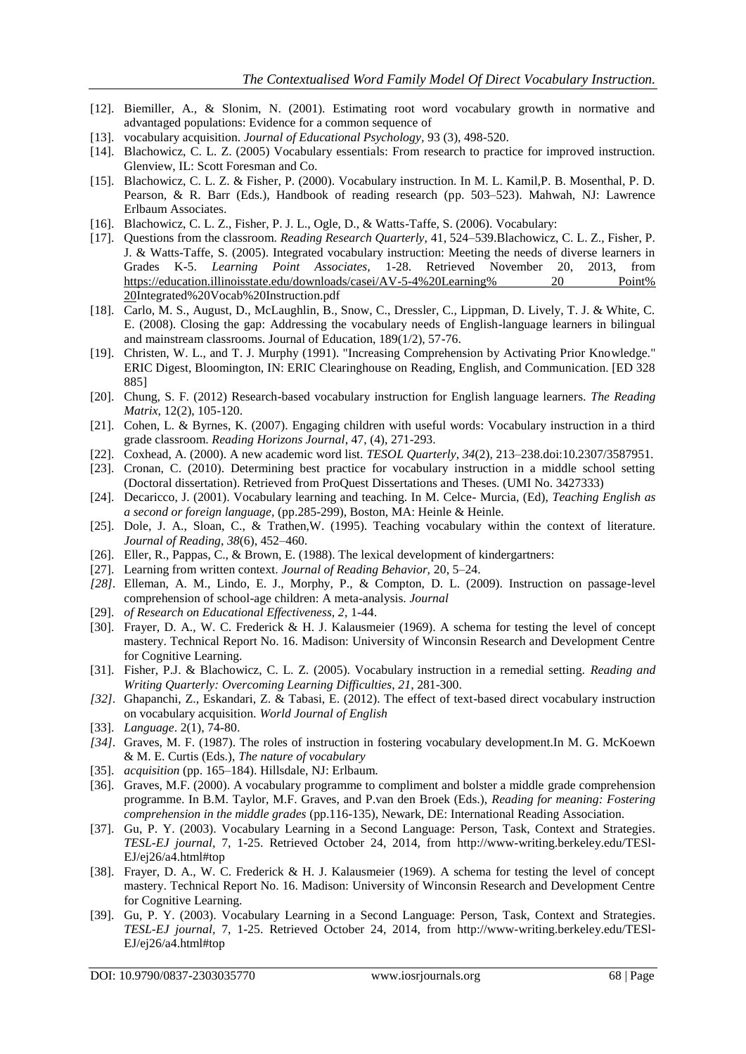- [12]. Biemiller, A., & Slonim, N. (2001). Estimating root word vocabulary growth in normative and advantaged populations: Evidence for a common sequence of
- [13]. vocabulary acquisition. *Journal of Educational Psychology,* 93 (3), 498-520.
- [14]. Blachowicz, C. L. Z. (2005) Vocabulary essentials: From research to practice for improved instruction. Glenview, IL: Scott Foresman and Co.
- [15]. Blachowicz, C. L. Z. & Fisher, P. (2000). Vocabulary instruction. In M. L. Kamil,P. B. Mosenthal, P. D. Pearson, & R. Barr (Eds.), Handbook of reading research (pp. 503–523). Mahwah, NJ: Lawrence Erlbaum Associates.
- [16]. Blachowicz, C. L. Z., Fisher, P. J. L., Ogle, D., & Watts-Taffe, S. (2006). Vocabulary:
- [17]. Questions from the classroom. *Reading Research Quarterly,* 41, 524–539.Blachowicz, C. L. Z., Fisher, P. J. & Watts-Taffe, S. (2005). Integrated vocabulary instruction: Meeting the needs of diverse learners in Grades K-5. *Learning Point Associates,* 1-28. Retrieved November 20, 2013, from [https://education.illinoisstate.edu/downloads/casei/AV-5-4%20Learning% 20 Point%](https://education.illinoisstate.edu/downloads/casei/AV-5-4%20Learning%25%2020%20Point%25%2020)  [20I](https://education.illinoisstate.edu/downloads/casei/AV-5-4%20Learning%25%2020%20Point%25%2020)ntegrated%20Vocab%20Instruction.pdf
- [18]. Carlo, M. S., August, D., McLaughlin, B., Snow, C., Dressler, C., Lippman, D. Lively, T. J. & White, C. E. (2008). Closing the gap: Addressing the vocabulary needs of English-language learners in bilingual and mainstream classrooms. Journal of Education, 189(1/2), 57-76.
- [19]. Christen, W. L., and T. J. Murphy (1991). "Increasing Comprehension by Activating Prior Knowledge." ERIC Digest, Bloomington, IN: ERIC Clearinghouse on Reading, English, and Communication. [ED 328 885]
- [20]. Chung, S. F. (2012) Research-based vocabulary instruction for English language learners. *The Reading Matrix*, 12(2), 105-120.
- [21]. Cohen, L. & Byrnes, K. (2007). Engaging children with useful words: Vocabulary instruction in a third grade classroom. *Reading Horizons Journal*, 47, (4), 271-293.
- [22]. Coxhead, A. (2000). A new academic word list. *TESOL Quarterly*, *34*(2), 213–238.doi:10.2307/3587951.
- [23]. Cronan, C. (2010). Determining best practice for vocabulary instruction in a middle school setting (Doctoral dissertation). Retrieved from ProQuest Dissertations and Theses. (UMI No. 3427333)
- [24]. Decaricco, J. (2001). Vocabulary learning and teaching. In M. Celce- Murcia, (Ed), *Teaching English as a second or foreign language,* (pp.285-299), Boston, MA: Heinle & Heinle.
- [25]. Dole, J. A., Sloan, C., & Trathen, W. (1995). Teaching vocabulary within the context of literature. *Journal of Reading*, *38*(6), 452–460.
- [26]. Eller, R., Pappas, C., & Brown, E. (1988). The lexical development of kindergartners:
- [27]. Learning from written context. *Journal of Reading Behavior,* 20, 5–24.
- *[28].* Elleman, A. M., Lindo, E. J., Morphy, P., & Compton, D. L. (2009). Instruction on passage-level comprehension of school-age children: A meta-analysis. *Journal*
- [29]. *of Research on Educational Effectiveness, 2*, 1-44.
- [30]. Frayer, D. A., W. C. Frederick & H. J. Kalausmeier (1969). A schema for testing the level of concept mastery. Technical Report No. 16. Madison: University of Winconsin Research and Development Centre for Cognitive Learning.
- [31]. Fisher, P.J. & Blachowicz, C. L. Z. (2005). Vocabulary instruction in a remedial setting. *Reading and Writing Quarterly: Overcoming Learning Difficulties*, *21*, 281-300.
- *[32].* Ghapanchi, Z., Eskandari, Z. & Tabasi, E. (2012). The effect of text-based direct vocabulary instruction on vocabulary acquisition. *World Journal of English*
- [33]. *Language*. 2(1), 74-80.
- *[34].* Graves, M. F. (1987). The roles of instruction in fostering vocabulary development.In M. G. McKoewn & M. E. Curtis (Eds.), *The nature of vocabulary*
- [35]. *acquisition* (pp. 165–184). Hillsdale, NJ: Erlbaum.
- [36]. Graves, M.F. (2000). A vocabulary programme to compliment and bolster a middle grade comprehension programme. In B.M. Taylor, M.F. Graves, and P.van den Broek (Eds.), *Reading for meaning: Fostering comprehension in the middle grades* (pp.116-135), Newark, DE: International Reading Association.
- [37]. Gu, P. Y. (2003). Vocabulary Learning in a Second Language: Person, Task, Context and Strategies. *TESL-EJ journal,* 7, 1-25. Retrieved October 24, 2014, from [http://www-writing.berkeley.edu/TESl-](http://www-writing.berkeley.edu/TESl-EJ/ej26/a4.html#top)[EJ/ej26/a4.html#top](http://www-writing.berkeley.edu/TESl-EJ/ej26/a4.html#top)
- [38]. Frayer, D. A., W. C. Frederick & H. J. Kalausmeier (1969). A schema for testing the level of concept mastery. Technical Report No. 16. Madison: University of Winconsin Research and Development Centre for Cognitive Learning.
- [39]. Gu, P. Y. (2003). Vocabulary Learning in a Second Language: Person, Task, Context and Strategies. *TESL-EJ journal,* 7, 1-25. Retrieved October 24, 2014, from [http://www-writing.berkeley.edu/TESl-](http://www-writing.berkeley.edu/TESl-EJ/ej26/a4.html#top)[EJ/ej26/a4.html#top](http://www-writing.berkeley.edu/TESl-EJ/ej26/a4.html#top)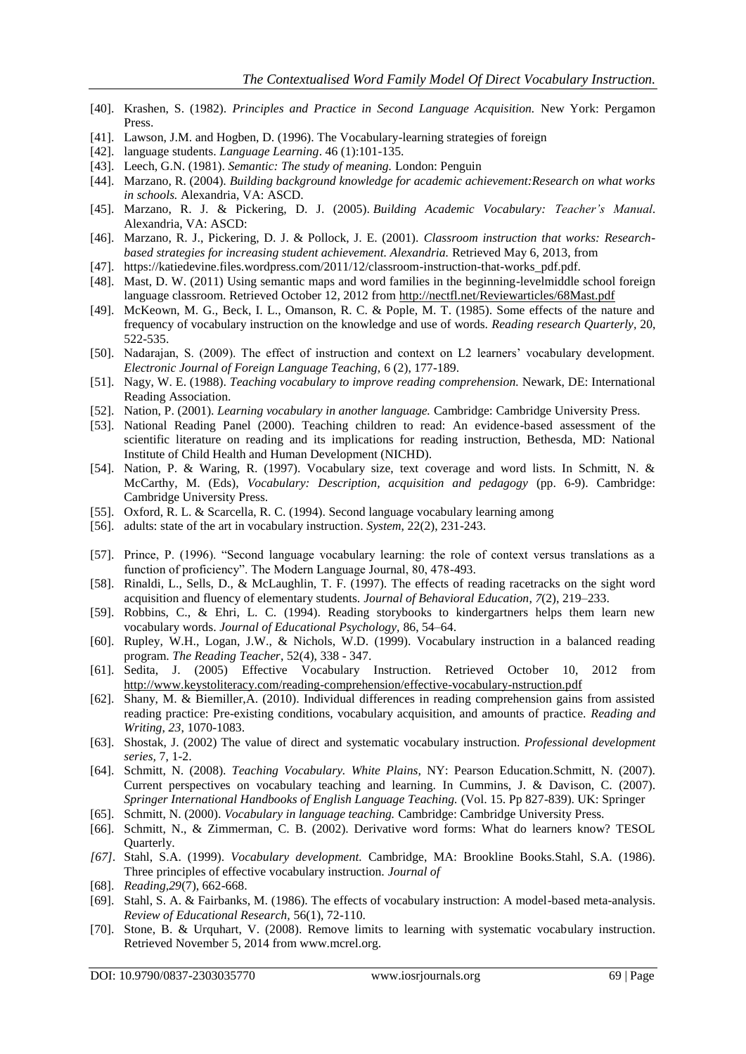- [40]. Krashen, S. (1982). *Principles and Practice in Second Language Acquisition.* New York: Pergamon Press.
- [41]. Lawson, J.M. and Hogben, D. (1996). The Vocabulary-learning strategies of foreign
- [42]. language students. *Language Learning*. 46 (1):101-135.
- [43]. Leech, G.N. (1981). *Semantic: The study of meaning.* London: Penguin
- [44]. Marzano, R. (2004). *Building background knowledge for academic achievement:Research on what works in schools.* Alexandria, VA: ASCD.
- [45]. Marzano, R. J. & Pickering, D. J. (2005). *Building Academic Vocabulary: Teacher's Manual.* Alexandria, VA: ASCD:
- [46]. Marzano, R. J., Pickering, D. J. & Pollock, J. E. (2001). *Classroom instruction that works: Researchbased strategies for increasing student achievement. Alexandria.* Retrieved May 6, 2013, from
- [47]. https://katiedevine.files.wordpress.com/2011/12/classroom-instruction-that-works\_pdf.pdf.
- [48]. Mast, D. W. (2011) Using semantic maps and word families in the beginning-levelmiddle school foreign language classroom. Retrieved October 12, 2012 fro[m http://nectfl.net/Reviewarticles/68Mast.pdf](http://nectfl.net/Reviewarticles/68Mast.pdf)
- [49]. McKeown, M. G., Beck, I. L., Omanson, R. C. & Pople, M. T. (1985). Some effects of the nature and frequency of vocabulary instruction on the knowledge and use of words. *Reading research Quarterly,* 20, 522-535.
- [50]. Nadarajan, S. (2009). The effect of instruction and context on L2 learners" vocabulary development. *Electronic Journal of Foreign Language Teaching,* 6 (2), 177-189.
- [51]. Nagy, W. E. (1988). *Teaching vocabulary to improve reading comprehension.* Newark, DE: International Reading Association.
- [52]. Nation, P. (2001). *Learning vocabulary in another language.* Cambridge: Cambridge University Press.
- [53]. National Reading Panel (2000). Teaching children to read: An evidence-based assessment of the scientific literature on reading and its implications for reading instruction, Bethesda, MD: National Institute of Child Health and Human Development (NICHD).
- [54]. Nation, P. & Waring, R. (1997). Vocabulary size, text coverage and word lists. In Schmitt, N. & McCarthy, M. (Eds), *Vocabulary: Description, acquisition and pedagogy* (pp. 6-9). Cambridge: Cambridge University Press.
- [55]. Oxford, R. L. & Scarcella, R. C. (1994). Second language vocabulary learning among
- [56]. adults: state of the art in vocabulary instruction. *System*, 22(2), 231-243.
- [57]. Prince, P. (1996). "Second language vocabulary learning: the role of context versus translations as a function of proficiency". The Modern Language Journal, 80, 478-493.
- [58]. Rinaldi, L., Sells, D., & McLaughlin, T. F. (1997). The effects of reading racetracks on the sight word acquisition and fluency of elementary students. *Journal of Behavioral Education*, *7*(2), 219–233.
- [59]. Robbins, C., & Ehri, L. C. (1994). Reading storybooks to kindergartners helps them learn new vocabulary words. *Journal of Educational Psychology,* 86, 54–64.
- [60]. Rupley, W.H., Logan, J.W., & Nichols, W.D. (1999). Vocabulary instruction in a balanced reading program. *The Reading Teacher*, 52(4), 338 - 347.
- [61]. Sedita, J. (2005) Effective Vocabulary Instruction. Retrieved October 10, 2012 from <http://www.keystoliteracy.com/reading-comprehension/effective-vocabulary-nstruction.pdf>
- [62]. Shany, M. & Biemiller,A. (2010). Individual differences in reading comprehension gains from assisted reading practice: Pre-existing conditions, vocabulary acquisition, and amounts of practice. *Reading and Writing*, *23*, 1070-1083.
- [63]. Shostak, J. (2002) The value of direct and systematic vocabulary instruction. *Professional development series,* 7, 1-2.
- [64]. Schmitt, N. (2008). *Teaching Vocabulary. White Plains,* NY: Pearson Education.Schmitt, N. (2007). Current perspectives on vocabulary teaching and learning. In Cummins, J. & Davison, C. (2007). *Springer International Handbooks of English Language Teaching.* (Vol. 15. Pp 827-839). UK: Springer
- [65]. Schmitt, N. (2000). *Vocabulary in language teaching.* Cambridge: Cambridge University Press.
- [66]. Schmitt, N., & Zimmerman, C. B. (2002). Derivative word forms: What do learners know? TESOL Quarterly.
- *[67].* Stahl, S.A. (1999). *Vocabulary development.* Cambridge, MA: Brookline Books.Stahl, S.A. (1986). Three principles of effective vocabulary instruction. *Journal of*
- [68]. *Reading,29*(7), 662-668.
- [69]. Stahl, S. A. & Fairbanks, M. (1986). The effects of vocabulary instruction: A model-based meta-analysis. *Review of Educational Research,* 56(1), 72-110.
- [70]. Stone, B. & Urquhart, V. (2008). Remove limits to learning with systematic vocabulary instruction. Retrieved November 5, 2014 from www.mcrel.org.